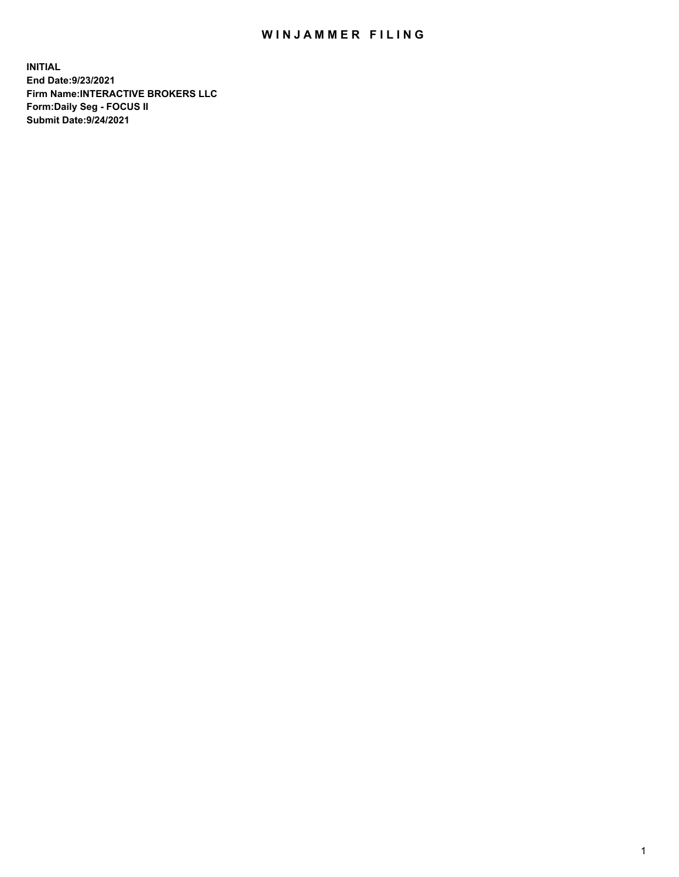## WIN JAMMER FILING

**INITIAL End Date:9/23/2021 Firm Name:INTERACTIVE BROKERS LLC Form:Daily Seg - FOCUS II Submit Date:9/24/2021**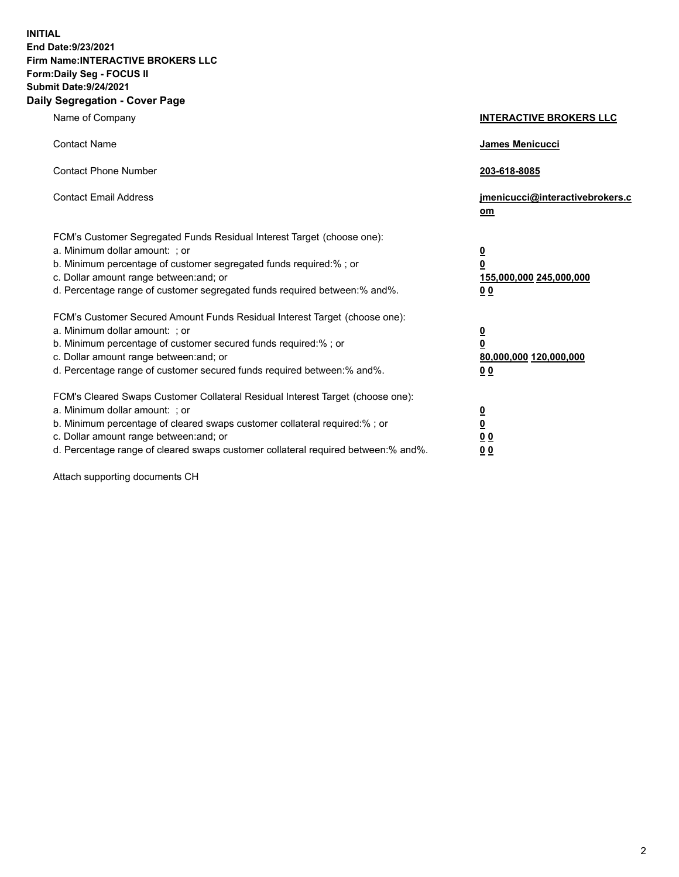**INITIAL End Date:9/23/2021 Firm Name:INTERACTIVE BROKERS LLC Form:Daily Seg - FOCUS II Submit Date:9/24/2021 Daily Segregation - Cover Page**

| Name of Company                                                                                                                                                                                                                                                                                                                | <b>INTERACTIVE BROKERS LLC</b>                                           |  |
|--------------------------------------------------------------------------------------------------------------------------------------------------------------------------------------------------------------------------------------------------------------------------------------------------------------------------------|--------------------------------------------------------------------------|--|
| <b>Contact Name</b>                                                                                                                                                                                                                                                                                                            | James Menicucci                                                          |  |
| <b>Contact Phone Number</b>                                                                                                                                                                                                                                                                                                    | 203-618-8085                                                             |  |
| <b>Contact Email Address</b>                                                                                                                                                                                                                                                                                                   | jmenicucci@interactivebrokers.c<br>om                                    |  |
| FCM's Customer Segregated Funds Residual Interest Target (choose one):<br>a. Minimum dollar amount: ; or<br>b. Minimum percentage of customer segregated funds required:% ; or<br>c. Dollar amount range between: and; or<br>d. Percentage range of customer segregated funds required between: % and %.                       | <u>0</u><br>0<br>155,000,000 245,000,000<br>0 <sub>0</sub>               |  |
| FCM's Customer Secured Amount Funds Residual Interest Target (choose one):<br>a. Minimum dollar amount: ; or<br>b. Minimum percentage of customer secured funds required:% ; or<br>c. Dollar amount range between: and; or<br>d. Percentage range of customer secured funds required between:% and%.                           | <u>0</u><br>$\overline{\mathbf{0}}$<br>80,000,000 120,000,000<br>00      |  |
| FCM's Cleared Swaps Customer Collateral Residual Interest Target (choose one):<br>a. Minimum dollar amount: ; or<br>b. Minimum percentage of cleared swaps customer collateral required:% ; or<br>c. Dollar amount range between: and; or<br>d. Percentage range of cleared swaps customer collateral required between:% and%. | <u>0</u><br>$\underline{\mathbf{0}}$<br>0 <sub>0</sub><br>0 <sub>0</sub> |  |

Attach supporting documents CH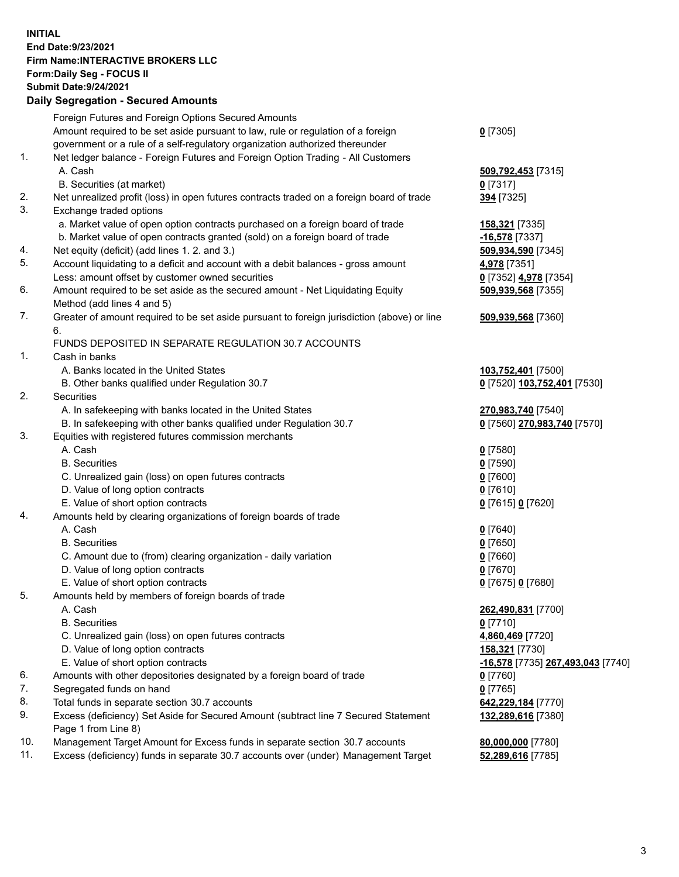**INITIAL End Date:9/23/2021 Firm Name:INTERACTIVE BROKERS LLC Form:Daily Seg - FOCUS II Submit Date:9/24/2021 Daily Segregation - Secured Amounts**

## Foreign Futures and Foreign Options Secured Amounts Amount required to be set aside pursuant to law, rule or regulation of a foreign government or a rule of a self-regulatory organization authorized thereunder **0** [7305] 1. Net ledger balance - Foreign Futures and Foreign Option Trading - All Customers A. Cash **509,792,453** [7315] B. Securities (at market) **0** [7317] 2. Net unrealized profit (loss) in open futures contracts traded on a foreign board of trade **394** [7325] 3. Exchange traded options a. Market value of open option contracts purchased on a foreign board of trade **158,321** [7335] b. Market value of open contracts granted (sold) on a foreign board of trade **-16,578** [7337] 4. Net equity (deficit) (add lines 1. 2. and 3.) **509,934,590** [7345] 5. Account liquidating to a deficit and account with a debit balances - gross amount **4,978** [7351] Less: amount offset by customer owned securities **0** [7352] **4,978** [7354] 6. Amount required to be set aside as the secured amount - Net Liquidating Equity Method (add lines 4 and 5) **509,939,568** [7355] 7. Greater of amount required to be set aside pursuant to foreign jurisdiction (above) or line 6. **509,939,568** [7360] FUNDS DEPOSITED IN SEPARATE REGULATION 30.7 ACCOUNTS 1. Cash in banks A. Banks located in the United States **103,752,401** [7500] B. Other banks qualified under Regulation 30.7 **0** [7520] **103,752,401** [7530] 2. Securities A. In safekeeping with banks located in the United States **270,983,740** [7540] B. In safekeeping with other banks qualified under Regulation 30.7 **0** [7560] **270,983,740** [7570] 3. Equities with registered futures commission merchants A. Cash **0** [7580] B. Securities **0** [7590] C. Unrealized gain (loss) on open futures contracts **0** [7600] D. Value of long option contracts **0** [7610] E. Value of short option contracts **0** [7615] **0** [7620] 4. Amounts held by clearing organizations of foreign boards of trade A. Cash **0** [7640] B. Securities **0** [7650] C. Amount due to (from) clearing organization - daily variation **0** [7660] D. Value of long option contracts **0** [7670] E. Value of short option contracts **0** [7675] **0** [7680] 5. Amounts held by members of foreign boards of trade A. Cash **262,490,831** [7700] B. Securities **0** [7710] C. Unrealized gain (loss) on open futures contracts **4,860,469** [7720] D. Value of long option contracts **158,321** [7730] E. Value of short option contracts **-16,578** [7735] **267,493,043** [7740] 6. Amounts with other depositories designated by a foreign board of trade **0** [7760] 7. Segregated funds on hand **0** [7765] 8. Total funds in separate section 30.7 accounts **642,229,184** [7770] 9. Excess (deficiency) Set Aside for Secured Amount (subtract line 7 Secured Statement Page 1 from Line 8) **132,289,616** [7380] 10. Management Target Amount for Excess funds in separate section 30.7 accounts **80,000,000** [7780] 11. Excess (deficiency) funds in separate 30.7 accounts over (under) Management Target **52,289,616** [7785]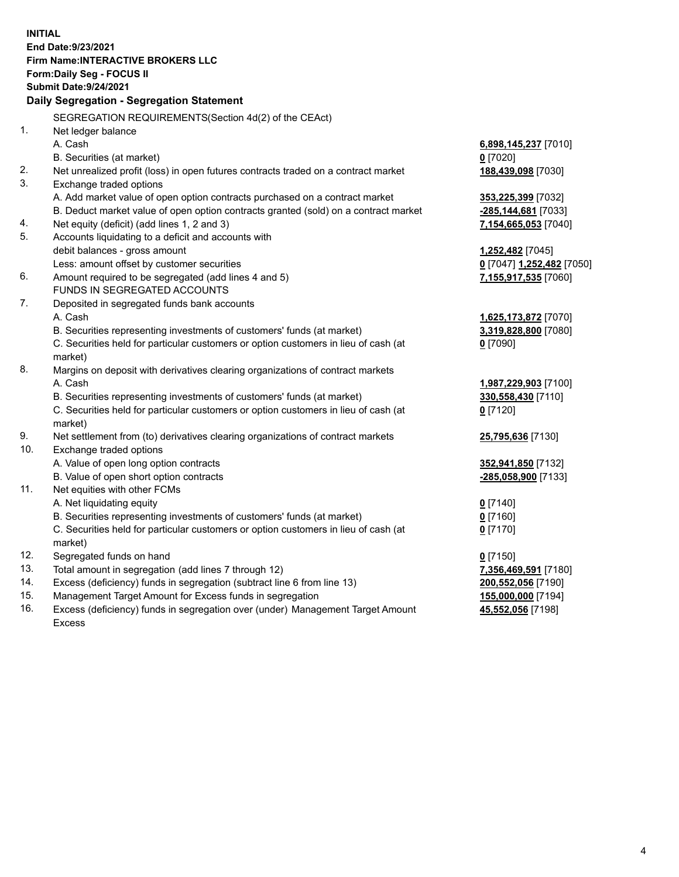**INITIAL End Date:9/23/2021 Firm Name:INTERACTIVE BROKERS LLC Form:Daily Seg - FOCUS II Submit Date:9/24/2021 Daily Segregation - Segregation Statement** SEGREGATION REQUIREMENTS(Section 4d(2) of the CEAct) 1. Net ledger balance A. Cash **6,898,145,237** [7010] B. Securities (at market) **0** [7020] 2. Net unrealized profit (loss) in open futures contracts traded on a contract market **188,439,098** [7030] 3. Exchange traded options A. Add market value of open option contracts purchased on a contract market **353,225,399** [7032] B. Deduct market value of open option contracts granted (sold) on a contract market **-285,144,681** [7033] 4. Net equity (deficit) (add lines 1, 2 and 3) **7,154,665,053** [7040] 5. Accounts liquidating to a deficit and accounts with debit balances - gross amount **1,252,482** [7045] Less: amount offset by customer securities **0** [7047] **1,252,482** [7050] 6. Amount required to be segregated (add lines 4 and 5) **7,155,917,535** [7060] FUNDS IN SEGREGATED ACCOUNTS 7. Deposited in segregated funds bank accounts A. Cash **1,625,173,872** [7070] B. Securities representing investments of customers' funds (at market) **3,319,828,800** [7080] C. Securities held for particular customers or option customers in lieu of cash (at market) **0** [7090] 8. Margins on deposit with derivatives clearing organizations of contract markets A. Cash **1,987,229,903** [7100] B. Securities representing investments of customers' funds (at market) **330,558,430** [7110] C. Securities held for particular customers or option customers in lieu of cash (at market) **0** [7120] 9. Net settlement from (to) derivatives clearing organizations of contract markets **25,795,636** [7130] 10. Exchange traded options A. Value of open long option contracts **352,941,850** [7132] B. Value of open short option contracts **-285,058,900** [7133] 11. Net equities with other FCMs A. Net liquidating equity **0** [7140] B. Securities representing investments of customers' funds (at market) **0** [7160] C. Securities held for particular customers or option customers in lieu of cash (at market) **0** [7170] 12. Segregated funds on hand **0** [7150] 13. Total amount in segregation (add lines 7 through 12) **7,356,469,591** [7180] 14. Excess (deficiency) funds in segregation (subtract line 6 from line 13) **200,552,056** [7190] 15. Management Target Amount for Excess funds in segregation **155,000,000** [7194] **45,552,056** [7198]

16. Excess (deficiency) funds in segregation over (under) Management Target Amount Excess